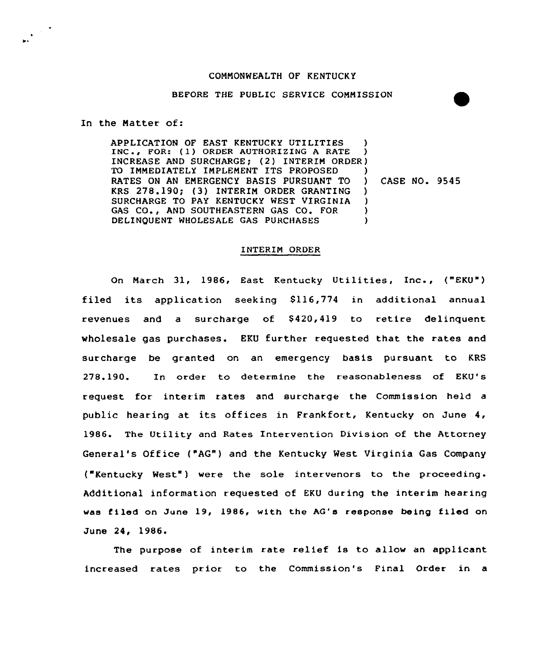## CONNONWEALTH OF KENTUCKY

## BEFORE THE PUBLIC SERVICE CONNISSION

In the Natter of:

APPLICATION OF EAST KENTUCKY UTILITIES ) INC., FOR: (1) ORDER AUTHORIZING A RATE ) INCREASE AND SURCHARGE; (2) INTERIM ORDER) TO IMMEDIATELY IMPLEMENT ITS PROPOSED RATES ON AN ENERGENCY BASIS PURSUANT TO ) CASE NO. 9545 KRS 278.190; (3) INTERIM ORDER GRANTING )<br>SURCHARGE TO PAY KENTUCKY WEST VIRGINIA ) SURCHARGE TO PAY KENTUCKY WEST VIRGINIA GAS CO., AND SOUTHEASTERN GAS CO. FOR (3)<br>DELINOUENT WHOLESALE GAS PURCHASES (3) DELINQUENT WHOLESALE GAS PURCHASES

## INTERIN ORDER

On March 31, 1986, East Kentucky Utilities, Inc., ("EKU") filed its application seeking  $$116,774$  in additional annual revenues and a surcharge of  $$420,419$  to retire delinquent wholesale gas purchases. EKU further requested that the rates and surcharge be granted on an emergency basis pursuant to KRS 278.190. In order to determine the reasonableness of EKU's request for interim rates and surcharge the Commission held a public hearing at its offices in Frankfort, Kentucky on June 4, 1986. The Utility and Rates Intervention Division of the Attorney General's Office ("AG" ) and the Kentucky West Virginia Gas Company ("Kentucky West") were the sole intervenors to the proceeding. Additional information requested of EKU during the interim hearing was filed on June 19, 1986, with the AG's response being filed on June 24, 1986.

The purpose of interim rate relief is to allow an applicant increased rates prior to the Commission's Firal Order in a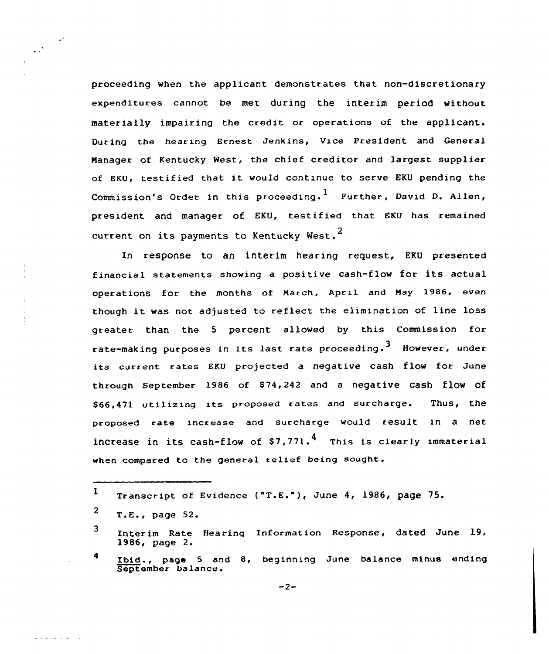proceeding when the applicant demonstrates that non-discretionary expenditures cannot be met during the interim period without materially impairing the credit or operations of the applicant. During the hearing Ernest Jenkins, Vice President and General Manager of Kentucky West, the chief creditor and largest supplier of EKU, testified that it would continue to serve EKU pending the Commission's Order in this proceeding.<sup>1</sup> Further, David D. Allen, president and manager of EKU, testified that EKU has remained current on its payments to Kentucky West.<sup>2</sup>

In response to an interim hearing request, EKU presented financial statements showing <sup>a</sup> positive cash-flow for its actual operations for the months of March, April and Hay 1986, even though it was not adjusted to reflect the elimination of line loss greater than the <sup>5</sup> percent allowed by this Commission for rate-making purposes in its last rate proceeding.<sup>3</sup> However, under its current rates EKU projected a negative cash flow for June through September 1986 of \$74,242 and a negative cash flow of \$66,471 utilizing its proposed rates and surcharge. Thus, the proposed rate increase and surcharge would result in a net increase in its cash-flow of  $$7,771$ .<sup>4</sup> This is clearly immaterial when compared to the general relief being sought.

 $\mathcal{O}^{\mathcal{O}}$ 

Ibid., page 5 and 8, beginning June balance minus endin<br>September balance.

 $\mathbf{I}$ Transcript of Evidence ("T.E."), June 4, 1986, page 75.

 $2$  T.E., page 52.

Interim Rate Hearing Information Response, dated June 19, 1986, page 2. 3